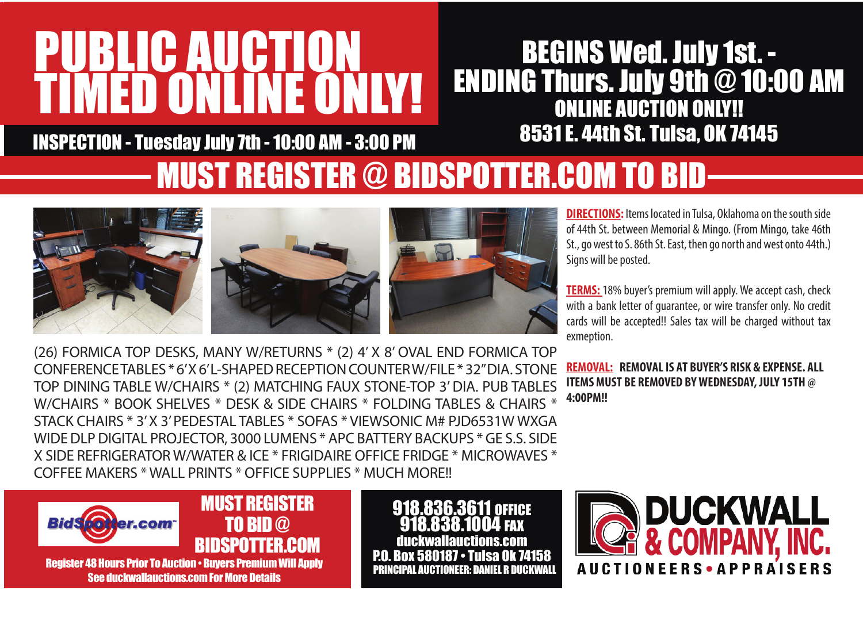# PUBLIC AUCTION TIMED ONLINE ONLY!

#### BEGINS Wed. July 1st. - ENDING Thurs. July 9th @ 10:00 AM ONLINE AUCTION ONLY!! 8531 E. 44th St. Tulsa, OK 74145

INSPECTION - Tuesday July 7th - 10:00 AM - 3:00 PM

### MUST REGISTER @ BIDSPOTTER.COM TO BID







**DIRECTIONS:** Items located in Tulsa, Oklahoma on the south side of 44th St. between Memorial & Mingo. (From Mingo, take 46th St., go west to S. 86th St. East, then go north and west onto 44th.) Signs will be posted.

**TERMS:** 18% buyer's premium will apply. We accept cash, check with a bank letter of guarantee, or wire transfer only. No credit cards will be accepted!! Sales tax will be charged without tax exmeption.

(26) FORMICA TOP DESKS, MANY W/RETURNS \* (2) 4' X 8' OVAL END FORMICA TOP CONFERENCE TABLES \* 6' X 6' L-SHAPED RECEPTION COUNTER W/FILE \* 32" DIA. STONE TOP DINING TABLE W/CHAIRS \* (2) MATCHING FAUX STONE-TOP 3' DIA. PUB TABLES W/CHAIRS \* BOOK SHELVES \* DESK & SIDE CHAIRS \* FOLDING TABLES & CHAIRS \* STACK CHAIRS \* 3' X 3' PEDESTAL TABLES \* SOFAS \* VIEWSONIC M# PJD6531W WXGA WIDE DLP DIGITAL PROJECTOR, 3000 LUMENS \* APC BATTERY BACKUPS \* GE S.S. SIDE X SIDE REFRIGERATOR W/WATER & ICE \* FRIGIDAIRE OFFICE FRIDGE \* MICROWAVES \* COFFEE MAKERS \* WALL PRINTS \* OFFICE SUPPLIES \* MUCH MORE!!

**REMOVAL: REMOVAL IS AT BUYER'S RISK & EXPENSE. ALL ITEMS MUST BE REMOVED BY WEDNESDAY, JULY 15TH @ 4:00PM!!**



918.836.3611 OFFICE 918.838.1004 FAX duckwallauctions.com 580187 • Tulsa PRINCIPAL AUCTIONEER: DANIEL R DUCKWALL